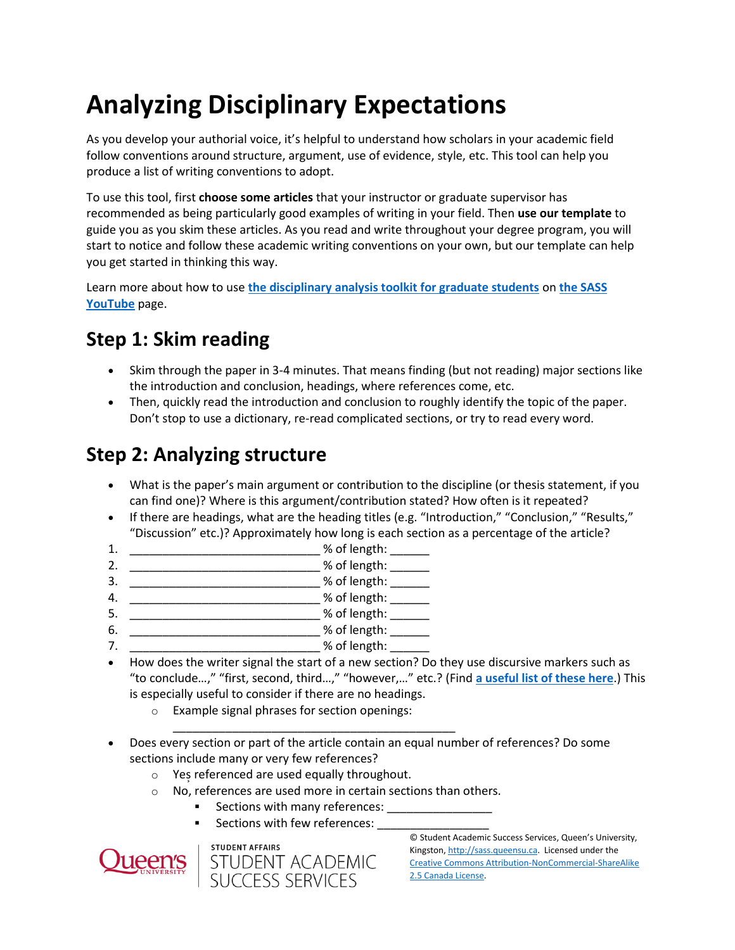# **Analyzing Disciplinary Expectations**

As you develop your authorial voice, it's helpful to understand how scholars in your academic field follow conventions around structure, argument, use of evidence, style, etc. This tool can help you produce a list of writing conventions to adopt.

To use this tool, first **choose some articles** that your instructor or graduate supervisor has recommended as being particularly good examples of writing in your field. Then **use our template** to guide you as you skim these articles. As you read and write throughout your degree program, you will start to notice and follow these academic writing conventions on your own, but our template can help you get started in thinking this way.

Learn more about how to use **[the disciplinary analysis toolkit for graduate students](https://www.youtube.com/watch?v=zuFPC7Nw1q0&t=11s)** on **[the SASS](https://www.youtube.com/channel/UCJ4ePs5T-YOQojR1ewM0foQ)  [YouTube](https://www.youtube.com/channel/UCJ4ePs5T-YOQojR1ewM0foQ)** page.

## **Step 1: Skim reading**

- Skim through the paper in 3-4 minutes. That means finding (but not reading) major sections like the introduction and conclusion, headings, where references come, etc.
- Then, quickly read the introduction and conclusion to roughly identify the topic of the paper. Don't stop to use a dictionary, re-read complicated sections, or try to read every word.

#### **Step 2: Analyzing structure**

- What is the paper's main argument or contribution to the discipline (or thesis statement, if you can find one)? Where is this argument/contribution stated? How often is it repeated?
- If there are headings, what are the heading titles (e.g. "Introduction," "Conclusion," "Results," "Discussion" etc.)? Approximately how long is each section as a percentage of the article?
- 1. \_\_\_\_\_\_\_\_\_\_\_\_\_\_\_\_\_\_\_\_\_\_\_\_\_\_\_\_\_ % of length: \_\_\_\_\_\_
- 2. \_\_\_\_\_\_\_\_\_\_\_\_\_\_\_\_\_\_\_\_\_\_\_\_\_\_\_\_\_ % of length: \_\_\_\_\_\_
- 3. \_\_\_\_\_\_\_\_\_\_\_\_\_\_\_\_\_\_\_\_\_\_\_\_\_\_\_\_\_ % of length: \_\_\_\_\_\_
- 4. \_\_\_\_\_\_\_\_\_\_\_\_\_\_\_\_\_\_\_\_\_\_\_\_\_\_\_\_\_ % of length: \_\_\_\_\_\_
- 5. \_\_\_\_\_\_\_\_\_\_\_\_\_\_\_\_\_\_\_\_\_\_\_\_\_\_\_\_\_ % of length: \_\_\_\_\_\_
- 6. \_\_\_\_\_\_\_\_\_\_\_\_\_\_\_\_\_\_\_\_\_\_\_\_\_\_\_\_\_ % of length: \_\_\_\_\_\_
- 7. \_\_\_\_\_\_\_\_\_\_\_\_\_\_\_\_\_\_\_\_\_\_\_\_\_\_\_\_\_ % of length: \_\_\_\_\_\_
- How does the writer signal the start of a new section? Do they use discursive markers such as "to conclude…," "first, second, third…," "however,…" etc.? (Find **[a useful list of these here](https://www.phrasebank.manchester.ac.uk/signalling-transition/)**.) This is especially useful to consider if there are no headings.
	- o Example signal phrases for section openings:
- \_\_\_\_\_\_\_\_\_\_\_\_\_\_\_\_\_\_\_\_\_\_\_\_\_\_\_\_\_\_\_\_\_\_\_\_\_\_\_\_\_\_\_ Does every section or part of the article contain an equal number of references? Do some sections include many or very few references?
	- o Yes͕referenced are used equally throughout.
	- o No, references are used more in certain sections than others.
		- Sections with many references: \_\_\_\_\_\_\_\_\_\_\_\_\_\_\_\_
		- Sections with few references: \_\_\_\_\_\_\_\_\_\_\_\_\_\_\_\_\_





© Student Academic Success Services, Queen's University, Kingston[, http://sass.queensu.ca.](http://sass.queensu.ca/) Licensed under the [Creative Commons Attribution-NonCommercial-ShareAlike](http://creativecommons.org/licenses/by-nc-sa/2.5/ca/)  [2.5 Canada License.](http://creativecommons.org/licenses/by-nc-sa/2.5/ca/)